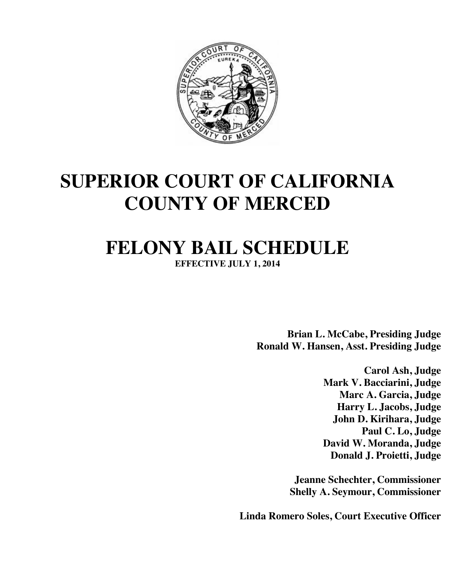

# **SUPERIOR COURT OF CALIFORNIA COUNTY OF MERCED**

# **FELONY BAIL SCHEDULE**

**EFFECTIVE JULY 1, 2014**

**Brian L. McCabe, Presiding Judge Ronald W. Hansen, Asst. Presiding Judge**

> **Carol Ash, Judge Mark V. Bacciarini, Judge Marc A. Garcia, Judge Harry L. Jacobs, Judge John D. Kirihara, Judge Paul C. Lo, Judge David W. Moranda, Judge Donald J. Proietti, Judge**

**Jeanne Schechter, Commissioner Shelly A. Seymour, Commissioner**

**Linda Romero Soles, Court Executive Officer**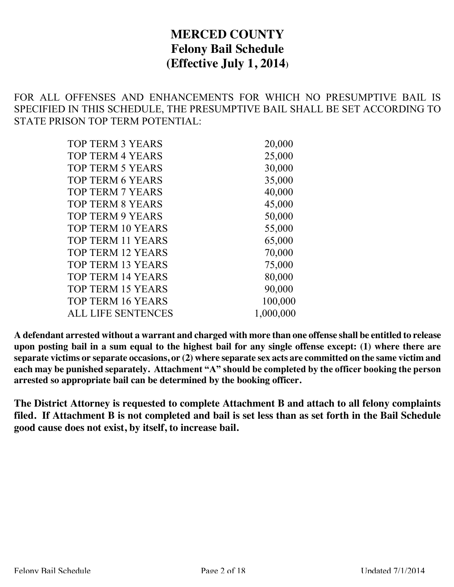## **MERCED COUNTY Felony Bail Schedule (Effective July 1, 2014)**

FOR ALL OFFENSES AND ENHANCEMENTS FOR WHICH NO PRESUMPTIVE BAIL IS SPECIFIED IN THIS SCHEDULE, THE PRESUMPTIVE BAIL SHALL BE SET ACCORDING TO STATE PRISON TOP TERM POTENTIAL:

| <b>TOP TERM 3 YEARS</b>   | 20,000    |
|---------------------------|-----------|
| <b>TOP TERM 4 YEARS</b>   | 25,000    |
| <b>TOP TERM 5 YEARS</b>   | 30,000    |
| <b>TOP TERM 6 YEARS</b>   | 35,000    |
| <b>TOP TERM 7 YEARS</b>   | 40,000    |
| <b>TOP TERM 8 YEARS</b>   | 45,000    |
| <b>TOP TERM 9 YEARS</b>   | 50,000    |
| <b>TOP TERM 10 YEARS</b>  | 55,000    |
| <b>TOP TERM 11 YEARS</b>  | 65,000    |
| <b>TOP TERM 12 YEARS</b>  | 70,000    |
| <b>TOP TERM 13 YEARS</b>  | 75,000    |
| <b>TOP TERM 14 YEARS</b>  | 80,000    |
| <b>TOP TERM 15 YEARS</b>  | 90,000    |
| <b>TOP TERM 16 YEARS</b>  | 100,000   |
| <b>ALL LIFE SENTENCES</b> | 1,000,000 |
|                           |           |

**A defendant arrested without a warrant and charged with more than one offense shall be entitled to release upon posting bail in a sum equal to the highest bail for any single offense except: (1) where there are separate victims or separate occasions, or (2) where separate sex acts are committed on the same victim and each may be punished separately. Attachment "A" should be completed by the officer booking the person arrested so appropriate bail can be determined by the booking officer.**

**The District Attorney is requested to complete Attachment B and attach to all felony complaints filed. If Attachment B is not completed and bail is set less than as set forth in the Bail Schedule good cause does not exist, by itself, to increase bail.**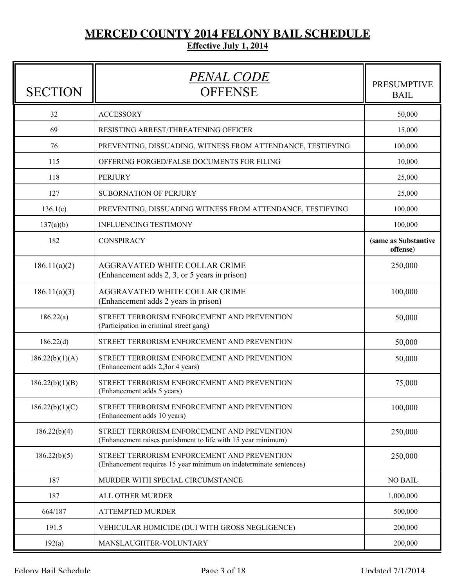# **MERCED COUNTY 2014 FELONY BAIL SCHEDULE**

### **Effective July 1, 2014**

| <b>SECTION</b>  | <u>PENAL CODE</u><br><b>OFFENSE</b>                                                                              | <b>PRESUMPTIVE</b><br><b>BAIL</b> |
|-----------------|------------------------------------------------------------------------------------------------------------------|-----------------------------------|
| 32              | <b>ACCESSORY</b>                                                                                                 | 50,000                            |
| 69              | RESISTING ARREST/THREATENING OFFICER                                                                             | 15,000                            |
| 76              | PREVENTING, DISSUADING, WITNESS FROM ATTENDANCE, TESTIFYING                                                      | 100,000                           |
| 115             | OFFERING FORGED/FALSE DOCUMENTS FOR FILING                                                                       | 10,000                            |
| 118             | <b>PERJURY</b>                                                                                                   | 25,000                            |
| 127             | SUBORNATION OF PERJURY                                                                                           | 25,000                            |
| 136.1(c)        | PREVENTING, DISSUADING WITNESS FROM ATTENDANCE, TESTIFYING                                                       | 100,000                           |
| 137(a)(b)       | <b>INFLUENCING TESTIMONY</b>                                                                                     | 100,000                           |
| 182             | CONSPIRACY                                                                                                       | (same as Substantive<br>offense)  |
| 186.11(a)(2)    | <b>AGGRAVATED WHITE COLLAR CRIME</b><br>(Enhancement adds 2, 3, or 5 years in prison)                            | 250,000                           |
| 186.11(a)(3)    | AGGRAVATED WHITE COLLAR CRIME<br>(Enhancement adds 2 years in prison)                                            | 100,000                           |
| 186.22(a)       | STREET TERRORISM ENFORCEMENT AND PREVENTION<br>(Participation in criminal street gang)                           | 50,000                            |
| 186.22(d)       | STREET TERRORISM ENFORCEMENT AND PREVENTION                                                                      | 50,000                            |
| 186.22(b)(1)(A) | STREET TERRORISM ENFORCEMENT AND PREVENTION<br>(Enhancement adds 2,3or 4 years)                                  | 50,000                            |
| 186.22(b)(1)(B) | STREET TERRORISM ENFORCEMENT AND PREVENTION<br>(Enhancement adds 5 years)                                        | 75,000                            |
| 186.22(b)(1)(C) | STREET TERRORISM ENFORCEMENT AND PREVENTION<br>(Enhancement adds 10 years)                                       | 100,000                           |
| 186.22(b)(4)    | STREET TERRORISM ENFORCEMENT AND PREVENTION<br>(Enhancement raises punishment to life with 15 year minimum)      | 250,000                           |
| 186.22(b)(5)    | STREET TERRORISM ENFORCEMENT AND PREVENTION<br>(Enhancement requires 15 year minimum on indeterminate sentences) | 250,000                           |
| 187             | MURDER WITH SPECIAL CIRCUMSTANCE                                                                                 | <b>NO BAIL</b>                    |
| 187             | ALL OTHER MURDER                                                                                                 | 1,000,000                         |
| 664/187         | ATTEMPTED MURDER                                                                                                 | 500,000                           |
| 191.5           | VEHICULAR HOMICIDE (DUI WITH GROSS NEGLIGENCE)                                                                   | 200,000                           |
| 192(a)          | MANSLAUGHTER-VOLUNTARY                                                                                           | 200,000                           |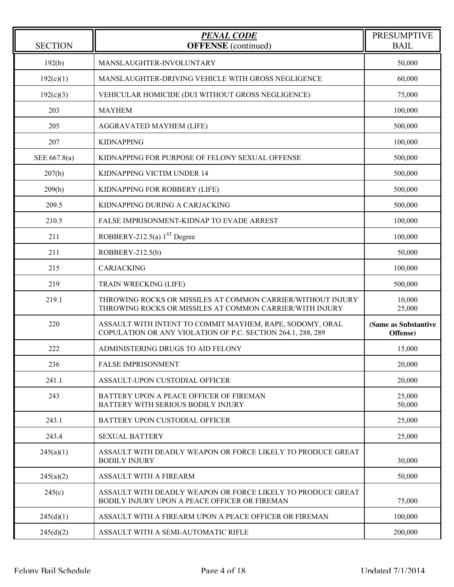| <b>SECTION</b> | <b>PENAL CODE</b><br><b>OFFENSE</b> (continued)                                                                         | <b>PRESUMPTIVE</b><br><b>BAIL</b> |
|----------------|-------------------------------------------------------------------------------------------------------------------------|-----------------------------------|
| 192(b)         | MANSLAUGHTER-INVOLUNTARY                                                                                                | 50,000                            |
| 192(c)(1)      | MANSLAUGHTER-DRIVING VEHICLE WITH GROSS NEGLIGENCE                                                                      | 60,000                            |
| 192(c)(3)      | VEHICULAR HOMICIDE (DUI WITHOUT GROSS NEGLIGENCE)                                                                       | 75,000                            |
| 203            | <b>MAYHEM</b>                                                                                                           | 100,000                           |
| 205            | <b>AGGRAVATED MAYHEM (LIFE)</b>                                                                                         | 500,000                           |
| 207            | <b>KIDNAPPING</b>                                                                                                       | 100,000                           |
| SEE 667.8(a)   | KIDNAPPING FOR PURPOSE OF FELONY SEXUAL OFFENSE                                                                         | 500,000                           |
| 207(b)         | KIDNAPPING VICTIM UNDER 14                                                                                              | 500,000                           |
| 209(b)         | KIDNAPPING FOR ROBBERY (LIFE)                                                                                           | 500,000                           |
| 209.5          | KIDNAPPING DURING A CARJACKING                                                                                          | 500,000                           |
| 210.5          | FALSE IMPRISONMENT-KIDNAP TO EVADE ARREST                                                                               | 100,000                           |
| 211            | ROBBERY-212.5(a) $1ST$ Degree                                                                                           | 100,000                           |
| 211            | ROBBERY-212.5(b)                                                                                                        | 50,000                            |
| 215            | CARJACKING                                                                                                              | 100,000                           |
| 219            | <b>TRAIN WRECKING (LIFE)</b>                                                                                            | 500,000                           |
| 219.1          | THROWING ROCKS OR MISSILES AT COMMON CARRIER/WITHOUT INJURY<br>THROWING ROCKS OR MISSILES AT COMMON CARRIER/WITH INJURY | 10,000<br>25,000                  |
| 220            | ASSAULT WITH INTENT TO COMMIT MAYHEM, RAPE, SODOMY, ORAL<br>COPULATION OR ANY VIOLATION OF P.C. SECTION 264.1, 288, 289 | (Same as Substantive<br>Offense)  |
| 222            | ADMINISTERING DRUGS TO AID FELONY                                                                                       | 15,000                            |
| 236            | <b>FALSE IMPRISONMENT</b>                                                                                               | 20,000                            |
| 241.1          | ASSAULT-UPON CUSTODIAL OFFICER                                                                                          | 20,000                            |
| 243            | BATTERY UPON A PEACE OFFICER OF FIREMAN<br>BATTERY WITH SERIOUS BODILY INJURY                                           | 25,000<br>50,000                  |
| 243.1          | BATTERY UPON CUSTODIAL OFFICER                                                                                          | 25,000                            |
| 243.4          | <b>SEXUAL BATTERY</b>                                                                                                   | 25,000                            |
| 245(a)(1)      | ASSAULT WITH DEADLY WEAPON OR FORCE LIKELY TO PRODUCE GREAT<br><b>BODILY INJURY</b>                                     | 30,000                            |
| 245(a)(2)      | ASSAULT WITH A FIREARM                                                                                                  | 50,000                            |
| 245(c)         | ASSAULT WITH DEADLY WEAPON OR FORCE LIKELY TO PRODUCE GREAT<br>BODILY INJURY UPON A PEACE OFFICER OR FIREMAN            | 75,000                            |
| 245(d)(1)      | ASSAULT WITH A FIREARM UPON A PEACE OFFICER OR FIREMAN                                                                  | 100,000                           |
| 245(d)(2)      | ASSAULT WITH A SEMI-AUTOMATIC RIFLE                                                                                     | 200,000                           |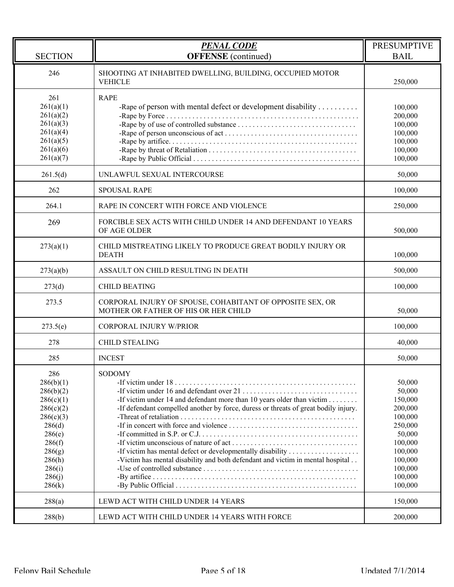| <b>SECTION</b>                                                                                                                                       | <b>PENAL CODE</b><br><b>OFFENSE</b> (continued)                                                                                                                                                                                                                                                                                | <b>PRESUMPTIVE</b><br><b>BAIL</b>                                                                                                        |
|------------------------------------------------------------------------------------------------------------------------------------------------------|--------------------------------------------------------------------------------------------------------------------------------------------------------------------------------------------------------------------------------------------------------------------------------------------------------------------------------|------------------------------------------------------------------------------------------------------------------------------------------|
| 246                                                                                                                                                  | SHOOTING AT INHABITED DWELLING, BUILDING, OCCUPIED MOTOR<br><b>VEHICLE</b>                                                                                                                                                                                                                                                     | 250,000                                                                                                                                  |
| 261<br>261(a)(1)<br>261(a)(2)<br>261(a)(3)<br>261(a)(4)<br>261(a)(5)<br>261(a)(6)<br>261(a)(7)                                                       | <b>RAPE</b><br>-Rape of person with mental defect or development disability $\dots\dots\dots$<br>-Rape by of use of controlled substance $\dots \dots \dots \dots \dots \dots \dots \dots \dots \dots$                                                                                                                         | 100,000<br>200,000<br>100,000<br>100,000<br>100,000<br>100,000<br>100,000                                                                |
| 261.5(d)                                                                                                                                             | UNLAWFUL SEXUAL INTERCOURSE                                                                                                                                                                                                                                                                                                    | 50,000                                                                                                                                   |
| 262                                                                                                                                                  | <b>SPOUSAL RAPE</b>                                                                                                                                                                                                                                                                                                            | 100,000                                                                                                                                  |
| 264.1                                                                                                                                                | RAPE IN CONCERT WITH FORCE AND VIOLENCE                                                                                                                                                                                                                                                                                        | 250,000                                                                                                                                  |
| 269                                                                                                                                                  | FORCIBLE SEX ACTS WITH CHILD UNDER 14 AND DEFENDANT 10 YEARS<br>OF AGE OLDER                                                                                                                                                                                                                                                   | 500,000                                                                                                                                  |
| 273(a)(1)                                                                                                                                            | CHILD MISTREATING LIKELY TO PRODUCE GREAT BODILY INJURY OR<br><b>DEATH</b>                                                                                                                                                                                                                                                     | 100,000                                                                                                                                  |
| 273(a)(b)                                                                                                                                            | ASSAULT ON CHILD RESULTING IN DEATH                                                                                                                                                                                                                                                                                            | 500,000                                                                                                                                  |
| 273(d)                                                                                                                                               | <b>CHILD BEATING</b>                                                                                                                                                                                                                                                                                                           | 100,000                                                                                                                                  |
| 273.5                                                                                                                                                | CORPORAL INJURY OF SPOUSE, COHABITANT OF OPPOSITE SEX, OR<br>MOTHER OR FATHER OF HIS OR HER CHILD                                                                                                                                                                                                                              | 50,000                                                                                                                                   |
| 273.5(e)                                                                                                                                             | <b>CORPORAL INJURY W/PRIOR</b>                                                                                                                                                                                                                                                                                                 | 100,000                                                                                                                                  |
| 278                                                                                                                                                  | <b>CHILD STEALING</b>                                                                                                                                                                                                                                                                                                          | 40,000                                                                                                                                   |
| 285                                                                                                                                                  | <b>INCEST</b>                                                                                                                                                                                                                                                                                                                  | 50,000                                                                                                                                   |
| 286<br>286(b)(1)<br>286(b)(2)<br>286(c)(1)<br>286(c)(2)<br>286(c)(3)<br>286(d)<br>286(e)<br>286(f)<br>286(g)<br>286(h)<br>286(i)<br>286(j)<br>286(k) | <b>SODOMY</b><br>-If victim under 14 and defendant more than 10 years older than victim<br>-If defendant compelled another by force, duress or threats of great bodily injury.<br>-If victim has mental defect or developmentally disability<br>-Victim has mental disability and both defendant and victim in mental hospital | 50,000<br>50,000<br>150,000<br>200,000<br>100,000<br>250,000<br>50,000<br>100,000<br>100,000<br>100,000<br>100,000<br>100,000<br>100,000 |
| 288(a)                                                                                                                                               | LEWD ACT WITH CHILD UNDER 14 YEARS                                                                                                                                                                                                                                                                                             | 150,000                                                                                                                                  |
| 288(b)                                                                                                                                               | LEWD ACT WITH CHILD UNDER 14 YEARS WITH FORCE                                                                                                                                                                                                                                                                                  | 200,000                                                                                                                                  |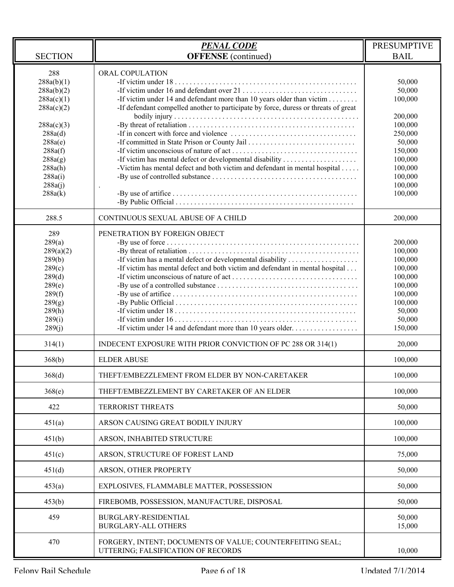|                                                                                                                                                                   | <b>PENAL CODE</b>                                                                                                                                                                                                                                              | <b>PRESUMPTIVE</b>                                                                                                                       |
|-------------------------------------------------------------------------------------------------------------------------------------------------------------------|----------------------------------------------------------------------------------------------------------------------------------------------------------------------------------------------------------------------------------------------------------------|------------------------------------------------------------------------------------------------------------------------------------------|
| <b>SECTION</b>                                                                                                                                                    | <b>OFFENSE</b> (continued)                                                                                                                                                                                                                                     | <b>BAIL</b>                                                                                                                              |
| 288<br>288a(b)(1)<br>288a(b)(2)<br>288a(c)(1)<br>288a(c)(2)<br>288a(c)(3)<br>288a(d)<br>288a(e)<br>288a(f)<br>288a(g)<br>288a(h)<br>288a(i)<br>288a(j)<br>288a(k) | ORAL COPULATION<br>-If victim under 14 and defendant more than 10 years older than victim<br>-If defendant compelled another to participate by force, duress or threats of great<br>-Victim has mental defect and both victim and defendant in mental hospital | 50,000<br>50,000<br>100,000<br>200,000<br>100,000<br>250,000<br>50,000<br>150,000<br>100,000<br>100,000<br>100,000<br>100,000<br>100,000 |
| 288.5                                                                                                                                                             | CONTINUOUS SEXUAL ABUSE OF A CHILD                                                                                                                                                                                                                             | 200,000                                                                                                                                  |
| 289<br>289(a)<br>289(a)(2)<br>289(b)<br>289(c)<br>289(d)<br>289(e)<br>289(f)<br>289(g)<br>289(h)<br>289(i)<br>289(j)                                              | PENETRATION BY FOREIGN OBJECT<br>-If victim has mental defect and both victim and defendant in mental hospital<br>-If victim under 14 and defendant more than 10 years older                                                                                   | 200,000<br>100,000<br>100,000<br>100,000<br>100,000<br>100,000<br>100,000<br>100,000<br>50,000<br>50,000<br>150,000                      |
| 314(1)                                                                                                                                                            | INDECENT EXPOSURE WITH PRIOR CONVICTION OF PC 288 OR 314(1)                                                                                                                                                                                                    | 20,000                                                                                                                                   |
| 368(b)                                                                                                                                                            | <b>ELDER ABUSE</b>                                                                                                                                                                                                                                             | 100,000                                                                                                                                  |
| 368(d)                                                                                                                                                            | THEFT/EMBEZZLEMENT FROM ELDER BY NON-CARETAKER                                                                                                                                                                                                                 | 100,000                                                                                                                                  |
| 368(e)                                                                                                                                                            | THEFT/EMBEZZLEMENT BY CARETAKER OF AN ELDER                                                                                                                                                                                                                    | 100,000                                                                                                                                  |
| 422                                                                                                                                                               | <b>TERRORIST THREATS</b>                                                                                                                                                                                                                                       | 50,000                                                                                                                                   |
| 451(a)                                                                                                                                                            | ARSON CAUSING GREAT BODILY INJURY                                                                                                                                                                                                                              | 100,000                                                                                                                                  |
| 451(b)                                                                                                                                                            | ARSON, INHABITED STRUCTURE                                                                                                                                                                                                                                     | 100,000                                                                                                                                  |
| 451(c)                                                                                                                                                            | ARSON, STRUCTURE OF FOREST LAND                                                                                                                                                                                                                                | 75,000                                                                                                                                   |
| 451(d)                                                                                                                                                            | ARSON, OTHER PROPERTY                                                                                                                                                                                                                                          | 50,000                                                                                                                                   |
| 453(a)                                                                                                                                                            | EXPLOSIVES, FLAMMABLE MATTER, POSSESSION                                                                                                                                                                                                                       | 50,000                                                                                                                                   |
| 453(b)                                                                                                                                                            | FIREBOMB, POSSESSION, MANUFACTURE, DISPOSAL                                                                                                                                                                                                                    | 50,000                                                                                                                                   |
| 459                                                                                                                                                               | BURGLARY-RESIDENTIAL<br><b>BURGLARY-ALL OTHERS</b>                                                                                                                                                                                                             | 50,000<br>15,000                                                                                                                         |
| 470                                                                                                                                                               | FORGERY, INTENT; DOCUMENTS OF VALUE; COUNTERFEITING SEAL;<br>UTTERING; FALSIFICATION OF RECORDS                                                                                                                                                                | 10,000                                                                                                                                   |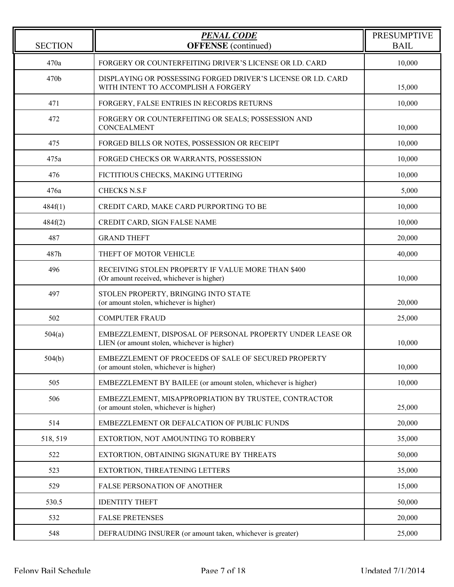| <b>SECTION</b> | <b>PENAL CODE</b><br><b>OFFENSE</b> (continued)                                                            | <b>PRESUMPTIVE</b><br><b>BAIL</b> |
|----------------|------------------------------------------------------------------------------------------------------------|-----------------------------------|
| 470a           | FORGERY OR COUNTERFEITING DRIVER'S LICENSE OR I.D. CARD                                                    | 10,000                            |
| 470b           | DISPLAYING OR POSSESSING FORGED DRIVER'S LICENSE OR I.D. CARD<br>WITH INTENT TO ACCOMPLISH A FORGERY       | 15,000                            |
| 471            | FORGERY, FALSE ENTRIES IN RECORDS RETURNS                                                                  | 10,000                            |
| 472            | FORGERY OR COUNTERFEITING OR SEALS; POSSESSION AND<br><b>CONCEALMENT</b>                                   | 10,000                            |
| 475            | FORGED BILLS OR NOTES, POSSESSION OR RECEIPT                                                               | 10,000                            |
| 475a           | FORGED CHECKS OR WARRANTS, POSSESSION                                                                      | 10,000                            |
| 476            | FICTITIOUS CHECKS, MAKING UTTERING                                                                         | 10,000                            |
| 476a           | <b>CHECKS N.S.F</b>                                                                                        | 5,000                             |
| 484f(1)        | CREDIT CARD, MAKE CARD PURPORTING TO BE                                                                    | 10,000                            |
| 484f(2)        | CREDIT CARD, SIGN FALSE NAME                                                                               | 10,000                            |
| 487            | <b>GRAND THEFT</b>                                                                                         | 20,000                            |
| 487h           | THEFT OF MOTOR VEHICLE                                                                                     | 40,000                            |
| 496            | RECEIVING STOLEN PROPERTY IF VALUE MORE THAN \$400<br>(Or amount received, whichever is higher)            | 10,000                            |
| 497            | STOLEN PROPERTY, BRINGING INTO STATE<br>(or amount stolen, whichever is higher)                            | 20,000                            |
| 502            | <b>COMPUTER FRAUD</b>                                                                                      | 25,000                            |
| 504(a)         | EMBEZZLEMENT, DISPOSAL OF PERSONAL PROPERTY UNDER LEASE OR<br>LIEN (or amount stolen, whichever is higher) | 10,000                            |
| 504(b)         | EMBEZZLEMENT OF PROCEEDS OF SALE OF SECURED PROPERTY<br>(or amount stolen, whichever is higher)            | 10,000                            |
| 505            | EMBEZZLEMENT BY BAILEE (or amount stolen, whichever is higher)                                             | 10,000                            |
| 506            | EMBEZZLEMENT, MISAPPROPRIATION BY TRUSTEE, CONTRACTOR<br>(or amount stolen, whichever is higher)           | 25,000                            |
| 514            | EMBEZZLEMENT OR DEFALCATION OF PUBLIC FUNDS                                                                | 20,000                            |
| 518, 519       | EXTORTION, NOT AMOUNTING TO ROBBERY                                                                        | 35,000                            |
| 522            | EXTORTION, OBTAINING SIGNATURE BY THREATS                                                                  | 50,000                            |
| 523            | EXTORTION, THREATENING LETTERS                                                                             | 35,000                            |
| 529            | <b>FALSE PERSONATION OF ANOTHER</b>                                                                        | 15,000                            |
| 530.5          | <b>IDENTITY THEFT</b>                                                                                      | 50,000                            |
| 532            | <b>FALSE PRETENSES</b>                                                                                     | 20,000                            |
| 548            | DEFRAUDING INSURER (or amount taken, whichever is greater)                                                 | 25,000                            |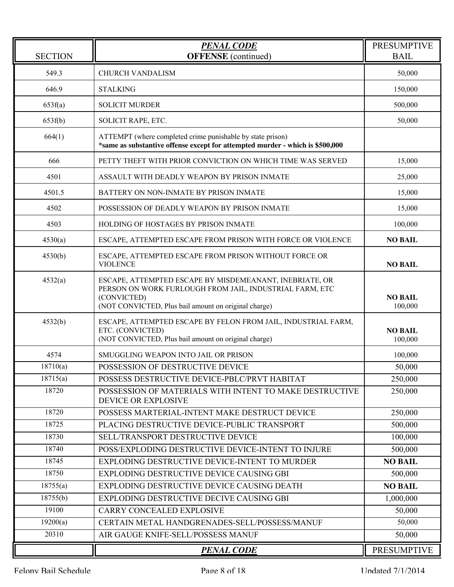| <b>SECTION</b> | <b>PENAL CODE</b><br><b>OFFENSE</b> (continued)                                                                                                                                           | <b>PRESUMPTIVE</b><br><b>BAIL</b> |
|----------------|-------------------------------------------------------------------------------------------------------------------------------------------------------------------------------------------|-----------------------------------|
| 549.3          | <b>CHURCH VANDALISM</b>                                                                                                                                                                   | 50,000                            |
| 646.9          | <b>STALKING</b>                                                                                                                                                                           | 150,000                           |
| 653f(a)        | <b>SOLICIT MURDER</b>                                                                                                                                                                     | 500,000                           |
| 653f(b)        | SOLICIT RAPE, ETC.                                                                                                                                                                        | 50,000                            |
| 664(1)         | ATTEMPT (where completed crime punishable by state prison)<br>*same as substantive offense except for attempted murder - which is \$500,000                                               |                                   |
| 666            | PETTY THEFT WITH PRIOR CONVICTION ON WHICH TIME WAS SERVED                                                                                                                                | 15,000                            |
| 4501           | ASSAULT WITH DEADLY WEAPON BY PRISON INMATE                                                                                                                                               | 25,000                            |
| 4501.5         | BATTERY ON NON-INMATE BY PRISON INMATE                                                                                                                                                    | 15,000                            |
| 4502           | POSSESSION OF DEADLY WEAPON BY PRISON INMATE                                                                                                                                              | 15,000                            |
| 4503           | HOLDING OF HOSTAGES BY PRISON INMATE                                                                                                                                                      | 100,000                           |
| 4530(a)        | ESCAPE, ATTEMPTED ESCAPE FROM PRISON WITH FORCE OR VIOLENCE                                                                                                                               | <b>NO BAIL</b>                    |
| 4530(b)        | ESCAPE, ATTEMPTED ESCAPE FROM PRISON WITHOUT FORCE OR<br><b>VIOLENCE</b>                                                                                                                  | <b>NO BAIL</b>                    |
| 4532(a)        | ESCAPE, ATTEMPTED ESCAPE BY MISDEMEANANT, INEBRIATE, OR<br>PERSON ON WORK FURLOUGH FROM JAIL, INDUSTRIAL FARM, ETC<br>(CONVICTED)<br>(NOT CONVICTED, Plus bail amount on original charge) | <b>NO BAIL</b><br>100,000         |
| 4532(b)        | ESCAPE, ATTEMPTED ESCAPE BY FELON FROM JAIL, INDUSTRIAL FARM,<br>ETC. (CONVICTED)<br>(NOT CONVICTED, Plus bail amount on original charge)                                                 | <b>NO BAIL</b><br>100,000         |
| 4574           | SMUGGLING WEAPON INTO JAIL OR PRISON                                                                                                                                                      | 100,000                           |
| 18710(a)       | POSSESSION OF DESTRUCTIVE DEVICE                                                                                                                                                          | 50,000                            |
| 18715(a)       | POSSESS DESTRUCTIVE DEVICE-PBLC/PRVT HABITAT                                                                                                                                              | 250,000                           |
| 18720          | POSSESSION OF MATERIALS WITH INTENT TO MAKE DESTRUCTIVE<br>DEVICE OR EXPLOSIVE                                                                                                            | 250,000                           |
| 18720          | POSSESS MARTERIAL-INTENT MAKE DESTRUCT DEVICE                                                                                                                                             | 250,000                           |
| 18725          | PLACING DESTRUCTIVE DEVICE-PUBLIC TRANSPORT                                                                                                                                               | 500,000                           |
| 18730          | SELL/TRANSPORT DESTRUCTIVE DEVICE                                                                                                                                                         | 100,000                           |
| 18740          | POSS/EXPLODING DESTRUCTIVE DEVICE-INTENT TO INJURE                                                                                                                                        | 500,000                           |
| 18745          | EXPLODING DESTRUCTIVE DEVICE-INTENT TO MURDER                                                                                                                                             | <b>NO BAIL</b>                    |
| 18750          | EXPLODING DESTRUCTIVE DEVICE CAUSING GBI                                                                                                                                                  | 500,000                           |
| 18755(a)       | EXPLODING DESTRUCTIVE DEVICE CAUSING DEATH                                                                                                                                                | <b>NO BAIL</b>                    |
| 18755(b)       | EXPLODING DESTRUCTIVE DECIVE CAUSING GBI                                                                                                                                                  | 1,000,000                         |
| 19100          | CARRY CONCEALED EXPLOSIVE                                                                                                                                                                 | 50,000                            |
| 19200(a)       | CERTAIN METAL HANDGRENADES-SELL/POSSESS/MANUF                                                                                                                                             | 50,000                            |
| 20310          | AIR GAUGE KNIFE-SELL/POSSESS MANUF                                                                                                                                                        | 50,000                            |
|                | <b>PENAL CODE</b>                                                                                                                                                                         | <b>PRESUMPTIVE</b>                |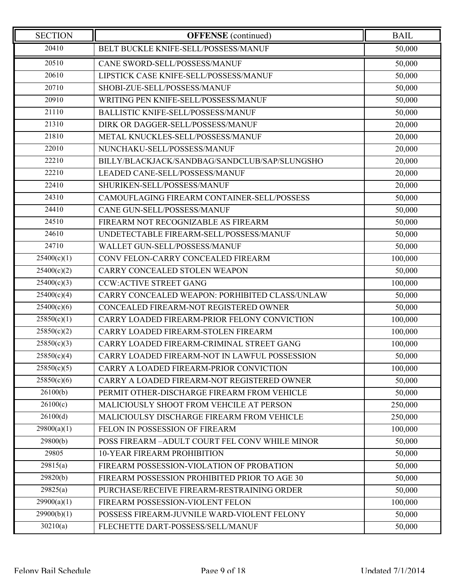| <b>SECTION</b>           | <b>OFFENSE</b> (continued)                     | <b>BAIL</b> |
|--------------------------|------------------------------------------------|-------------|
| 20410                    | BELT BUCKLE KNIFE-SELL/POSSESS/MANUF           | 50,000      |
| 20510                    | CANE SWORD-SELL/POSSESS/MANUF                  | 50,000      |
| 20610                    | LIPSTICK CASE KNIFE-SELL/POSSESS/MANUF         | 50,000      |
| 20710                    | SHOBI-ZUE-SELL/POSSESS/MANUF                   | 50,000      |
| 20910                    | WRITING PEN KNIFE-SELL/POSSESS/MANUF           | 50,000      |
| 21110                    | <b>BALLISTIC KNIFE-SELL/POSSESS/MANUF</b>      | 50,000      |
| 21310                    | DIRK OR DAGGER-SELL/POSSESS/MANUF              | 20,000      |
| 21810                    | METAL KNUCKLES-SELL/POSSESS/MANUF              | 20,000      |
| 22010                    | NUNCHAKU-SELL/POSSESS/MANUF                    | 20,000      |
| 22210                    | BILLY/BLACKJACK/SANDBAG/SANDCLUB/SAP/SLUNGSHO  | 20,000      |
| 22210                    | LEADED CANE-SELL/POSSESS/MANUF                 | 20,000      |
| 22410                    | SHURIKEN-SELL/POSSESS/MANUF                    | 20,000      |
| 24310                    | CAMOUFLAGING FIREARM CONTAINER-SELL/POSSESS    | 50,000      |
| 24410                    | CANE GUN-SELL/POSSESS/MANUF                    | 50,000      |
| 24510                    | FIREARM NOT RECOGNIZABLE AS FIREARM            | 50,000      |
| 24610                    | UNDETECTABLE FIREARM-SELL/POSSESS/MANUF        | 50,000      |
| 24710                    | WALLET GUN-SELL/POSSESS/MANUF                  | 50,000      |
| 25400(c)(1)              | CONV FELON-CARRY CONCEALED FIREARM             | 100,000     |
| 25400(c)(2)              | CARRY CONCEALED STOLEN WEAPON                  | 50,000      |
| 25400(c)(3)              | <b>CCW:ACTIVE STREET GANG</b>                  | 100,000     |
| 25400(c)(4)              | CARRY CONCEALED WEAPON: PORHIBITED CLASS/UNLAW | 50,000      |
| 25400(c)(6)              | CONCEALED FIREARM-NOT REGISTERED OWNER         | 50,000      |
| $\overline{25850(c)(1)}$ | CARRY LOADED FIREARM-PRIOR FELONY CONVICTION   | 100,000     |
| 25850(c)(2)              | CARRY LOADED FIREARM-STOLEN FIREARM            | 100,000     |
| 25850(c)(3)              | CARRY LOADED FIREARM-CRIMINAL STREET GANG      | 100,000     |
| 25850(c)(4)              | CARRY LOADED FIREARM-NOT IN LAWFUL POSSESSION  | 50,000      |
| 25850(c)(5)              | CARRY A LOADED FIREARM-PRIOR CONVICTION        | 100,000     |
| 25850(c)(6)              | CARRY A LOADED FIREARM-NOT REGISTERED OWNER    | 50,000      |
| 26100(b)                 | PERMIT OTHER-DISCHARGE FIREARM FROM VEHICLE    | 50,000      |
| 26100(c)                 | MALICIOUSLY SHOOT FROM VEHCILE AT PERSON       | 250,000     |
| 26100(d)                 | MALICIOULSY DISCHARGE FIREARM FROM VEHICLE     | 250,000     |
| 29800(a)(1)              | FELON IN POSSESSION OF FIREARM                 | 100,000     |
| 29800(b)                 | POSS FIREARM -ADULT COURT FEL CONV WHILE MINOR | 50,000      |
| 29805                    | <b>10-YEAR FIREARM PROHIBITION</b>             | 50,000      |
| 29815(a)                 | FIREARM POSSESSION-VIOLATION OF PROBATION      | 50,000      |
| 29820(b)                 | FIREARM POSSESSION PROHIBITED PRIOR TO AGE 30  | 50,000      |
| 29825(a)                 | PURCHASE/RECEIVE FIREARM-RESTRAINING ORDER     | 50,000      |
| 29900(a)(1)              | FIREARM POSSESSION-VIOLENT FELON               | 100,000     |
| 29900(b)(1)              | POSSESS FIREARM-JUVNILE WARD-VIOLENT FELONY    | 50,000      |
| 30210(a)                 | FLECHETTE DART-POSSESS/SELL/MANUF              | 50,000      |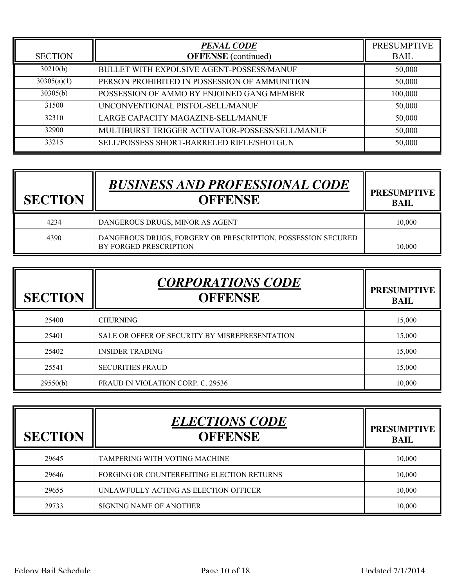| <b>SECTION</b> | <b>PENAL CODE</b><br><b>OFFENSE</b> (continued) | <b>PRESUMPTIVE</b><br><b>BAIL</b> |
|----------------|-------------------------------------------------|-----------------------------------|
| 30210(b)       | BULLET WITH EXPOLSIVE AGENT-POSSESS/MANUF       | 50,000                            |
| 30305(a)(1)    | PERSON PROHIBITED IN POSSESSION OF AMMUNITION   | 50,000                            |
| 30305(b)       | POSSESSION OF AMMO BY ENJOINED GANG MEMBER      | 100,000                           |
| 31500          | UNCONVENTIONAL PISTOL-SELL/MANUF                | 50,000                            |
| 32310          | LARGE CAPACITY MAGAZINE-SELL/MANUF              | 50,000                            |
| 32900          | MULTIBURST TRIGGER ACTIVATOR-POSSESS/SELL/MANUF | 50,000                            |
| 33215          | SELL/POSSESS SHORT-BARRELED RIFLE/SHOTGUN       | 50,000                            |

| <b>SECTION</b> | <b>BUSINESS AND PROFESSIONAL CODE</b><br><b>OFFENSE</b>                                | <b>PRESUMPTIVE</b><br><b>BAIL</b> |
|----------------|----------------------------------------------------------------------------------------|-----------------------------------|
| 4234           | DANGEROUS DRUGS, MINOR AS AGENT                                                        | 10,000                            |
| 4390           | DANGEROUS DRUGS, FORGERY OR PRESCRIPTION, POSSESSION SECURED<br>BY FORGED PRESCRIPTION | 10.000                            |

| <b>SECTION</b> | <b>CORPORATIONS CODE</b><br><b>OFFENSE</b>     | <b>PRESUMPTIVE</b><br><b>BAIL</b> |
|----------------|------------------------------------------------|-----------------------------------|
| 25400          | <b>CHURNING</b>                                | 15,000                            |
| 25401          | SALE OR OFFER OF SECURITY BY MISREPRESENTATION | 15,000                            |
| 25402          | <b>INSIDER TRADING</b>                         | 15,000                            |
| 25541          | <b>SECURITIES FRAUD</b>                        | 15,000                            |
| 29550(b)       | FRAUD IN VIOLATION CORP. C. 29536              | 10.000                            |

| <b>SECTION</b> | <b>ELECTIONS CODE</b><br><b>OFFENSE</b>    | <b>PRESUMPTIVE</b><br><b>BAIL</b> |
|----------------|--------------------------------------------|-----------------------------------|
| 29645          | TAMPERING WITH VOTING MACHINE              | 10,000                            |
| 29646          | FORGING OR COUNTERFEITING ELECTION RETURNS | 10,000                            |
| 29655          | UNLAWFULLY ACTING AS ELECTION OFFICER      | 10,000                            |
| 29733          | SIGNING NAME OF ANOTHER                    | 10,000                            |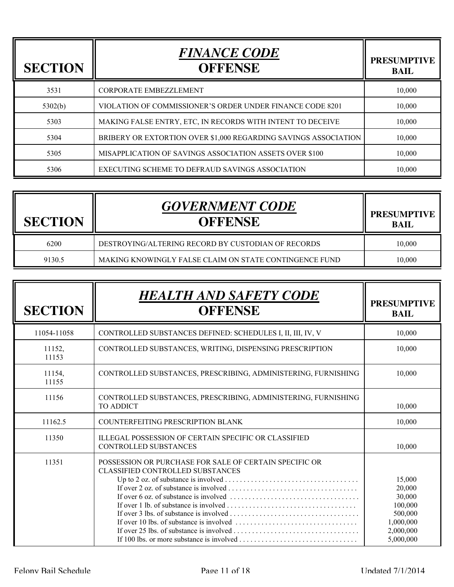| <b>SECTION</b> | <b>FINANCE CODE</b><br><b>OFFENSE</b>                           | <b>PRESUMPTIVE</b><br><b>BAIL</b> |
|----------------|-----------------------------------------------------------------|-----------------------------------|
| 3531           | <b>CORPORATE EMBEZZLEMENT</b>                                   | 10,000                            |
| 5302(b)        | VIOLATION OF COMMISSIONER'S ORDER UNDER FINANCE CODE 8201       | 10,000                            |
| 5303           | MAKING FALSE ENTRY, ETC, IN RECORDS WITH INTENT TO DECEIVE      | 10,000                            |
| 5304           | BRIBERY OR EXTORTION OVER \$1,000 REGARDING SAVINGS ASSOCIATION | 10,000                            |
| 5305           | MISAPPLICATION OF SAVINGS ASSOCIATION ASSETS OVER \$100         | 10,000                            |
| 5306           | EXECUTING SCHEME TO DEFRAUD SAVINGS ASSOCIATION                 | 10.000                            |

| <b>SECTION</b> | <b>GOVERNMENT CODE</b><br><b>OFFENSE</b>               | <b>PRESUMPTIVE</b><br><b>BAIL</b> |
|----------------|--------------------------------------------------------|-----------------------------------|
| 6200           | DESTROYING/ALTERING RECORD BY CUSTODIAN OF RECORDS     | 10,000                            |
| 9130.5         | MAKING KNOWINGLY FALSE CLAIM ON STATE CONTINGENCE FUND | 10,000                            |

| <b>SECTION</b>  | <b>HEALTH AND SAFETY CODE</b><br><b>OFFENSE</b>                                                                                                                                                                 | <b>PRESUMPTIVE</b><br><b>BAIL</b>                                                       |
|-----------------|-----------------------------------------------------------------------------------------------------------------------------------------------------------------------------------------------------------------|-----------------------------------------------------------------------------------------|
| 11054-11058     | CONTROLLED SUBSTANCES DEFINED: SCHEDULES I, II, III, IV, V                                                                                                                                                      | 10,000                                                                                  |
| 11152,<br>11153 | CONTROLLED SUBSTANCES, WRITING, DISPENSING PRESCRIPTION                                                                                                                                                         | 10,000                                                                                  |
| 11154,<br>11155 | CONTROLLED SUBSTANCES, PRESCRIBING, ADMINISTERING, FURNISHING                                                                                                                                                   | 10,000                                                                                  |
| 11156           | CONTROLLED SUBSTANCES, PRESCRIBING, ADMINISTERING, FURNISHING<br><b>TO ADDICT</b>                                                                                                                               | 10,000                                                                                  |
| 11162.5         | COUNTERFEITING PRESCRIPTION BLANK                                                                                                                                                                               | 10,000                                                                                  |
| 11350           | ILLEGAL POSSESSION OF CERTAIN SPECIFIC OR CLASSIFIED<br><b>CONTROLLED SUBSTANCES</b>                                                                                                                            | 10,000                                                                                  |
| 11351           | POSSESSION OR PURCHASE FOR SALE OF CERTAIN SPECIFIC OR<br><b>CLASSIFIED CONTROLLED SUBSTANCES</b><br>If over 6 oz. of substance is involved $\dots \dots \dots \dots \dots \dots \dots \dots \dots \dots \dots$ | 15,000<br>20,000<br>30,000<br>100,000<br>500,000<br>1,000,000<br>2,000,000<br>5,000,000 |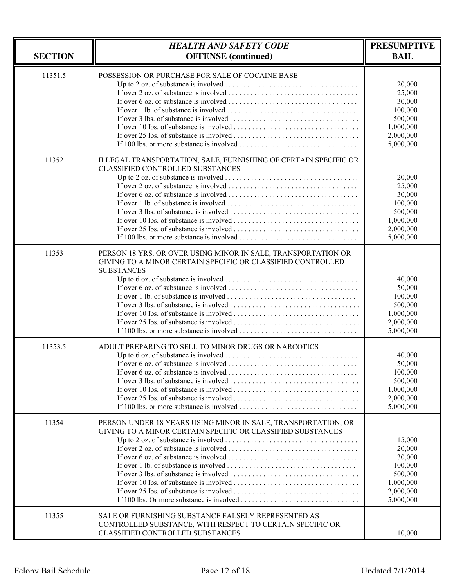| <b>SECTION</b> | <b>HEALTH AND SAFETY CODE</b><br><b>OFFENSE</b> (continued)                                                                                          | <b>PRESUMPTIVE</b><br><b>BAIL</b>                                                       |
|----------------|------------------------------------------------------------------------------------------------------------------------------------------------------|-----------------------------------------------------------------------------------------|
| 11351.5        | POSSESSION OR PURCHASE FOR SALE OF COCAINE BASE                                                                                                      | 20,000<br>25,000<br>30,000<br>100,000<br>500,000<br>1,000,000<br>2,000,000<br>5,000,000 |
| 11352          | ILLEGAL TRANSPORTATION, SALE, FURNISHING OF CERTAIN SPECIFIC OR<br>CLASSIFIED CONTROLLED SUBSTANCES                                                  | 20,000<br>25,000<br>30,000<br>100,000<br>500,000<br>1,000,000<br>2,000,000<br>5,000,000 |
| 11353          | PERSON 18 YRS. OR OVER USING MINOR IN SALE, TRANSPORTATION OR<br>GIVING TO A MINOR CERTAIN SPECIFIC OR CLASSIFIED CONTROLLED<br><b>SUBSTANCES</b>    | 40,000<br>50,000<br>100,000<br>500,000<br>1,000,000<br>2,000,000<br>5,000,000           |
| 11353.5        | ADULT PREPARING TO SELL TO MINOR DRUGS OR NARCOTICS                                                                                                  | 40,000<br>50,000<br>100,000<br>500,000<br>1,000,000<br>2,000,000<br>5,000,000           |
| 11354          | PERSON UNDER 18 YEARS USING MINOR IN SALE, TRANSPORTATION, OR<br>GIVING TO A MINOR CERTAIN SPECIFIC OR CLASSIFIED SUBSTANCES                         | 15,000<br>20,000<br>30,000<br>100,000<br>500,000<br>1,000,000<br>2,000,000<br>5,000,000 |
| 11355          | SALE OR FURNISHING SUBSTANCE FALSELY REPRESENTED AS<br>CONTROLLED SUBSTANCE, WITH RESPECT TO CERTAIN SPECIFIC OR<br>CLASSIFIED CONTROLLED SUBSTANCES | 10,000                                                                                  |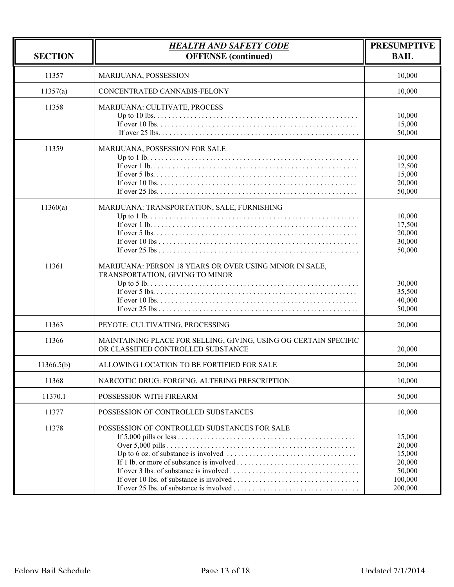| <b>SECTION</b> | <b>HEALTH AND SAFETY CODE</b><br><b>OFFENSE</b> (continued)                                            | <b>PRESUMPTIVE</b><br><b>BAIL</b>                                    |
|----------------|--------------------------------------------------------------------------------------------------------|----------------------------------------------------------------------|
| 11357          | MARIJUANA, POSSESSION                                                                                  | 10,000                                                               |
| 11357(a)       | CONCENTRATED CANNABIS-FELONY                                                                           | 10,000                                                               |
| 11358          | MARIJUANA: CULTIVATE, PROCESS                                                                          | 10,000<br>15,000<br>50,000                                           |
| 11359          | MARIJUANA, POSSESSION FOR SALE                                                                         | 10,000<br>12,500<br>15,000<br>20,000<br>50,000                       |
| 11360(a)       | MARIJUANA: TRANSPORTATION, SALE, FURNISHING                                                            | 10,000<br>17,500<br>20,000<br>30,000<br>50,000                       |
| 11361          | MARIJUANA: PERSON 18 YEARS OR OVER USING MINOR IN SALE,<br>TRANSPORTATION, GIVING TO MINOR             | 30,000<br>35,500<br>40,000<br>50,000                                 |
| 11363          | PEYOTE: CULTIVATING, PROCESSING                                                                        | 20,000                                                               |
| 11366          | MAINTAINING PLACE FOR SELLING, GIVING, USING OG CERTAIN SPECIFIC<br>OR CLASSIFIED CONTROLLED SUBSTANCE | 20,000                                                               |
| 11366.5(b)     | ALLOWING LOCATION TO BE FORTIFIED FOR SALE                                                             | 20,000                                                               |
| 11368          | NARCOTIC DRUG: FORGING, ALTERING PRESCRIPTION                                                          | 10,000                                                               |
| 11370.1        | POSSESSION WITH FIREARM                                                                                | 50,000                                                               |
| 11377          | POSSESSION OF CONTROLLED SUBSTANCES                                                                    | 10,000                                                               |
| 11378          | POSSESSION OF CONTROLLED SUBSTANCES FOR SALE                                                           | 15,000<br>20,000<br>15,000<br>20,000<br>50,000<br>100,000<br>200,000 |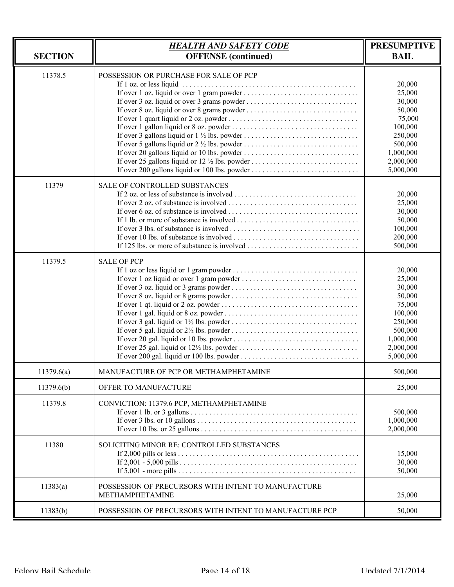| <b>SECTION</b> | <b>HEALTH AND SAFETY CODE</b><br><b>OFFENSE</b> (continued)                             | <b>PRESUMPTIVE</b><br><b>BAIL</b>                                                                                      |
|----------------|-----------------------------------------------------------------------------------------|------------------------------------------------------------------------------------------------------------------------|
| 11378.5        | POSSESSION OR PURCHASE FOR SALE OF PCP<br>If over 200 gallons liquid or 100 lbs. powder | 20,000<br>25,000<br>30,000<br>50,000<br>75,000<br>100,000<br>250,000<br>500,000<br>1,000,000<br>2,000,000<br>5,000,000 |
| 11379          | <b>SALE OF CONTROLLED SUBSTANCES</b>                                                    | 20,000<br>25,000<br>30,000<br>50,000<br>100,000<br>200,000<br>500,000                                                  |
| 11379.5        | <b>SALE OF PCP</b>                                                                      | 20,000<br>25,000<br>30,000<br>50,000<br>75,000<br>100,000<br>250,000<br>500,000<br>1,000,000<br>2,000,000<br>5,000,000 |
| 11379.6(a)     | MANUFACTURE OF PCP OR METHAMPHETAMINE                                                   | 500,000                                                                                                                |
| 11379.6(b)     | OFFER TO MANUFACTURE                                                                    | 25,000                                                                                                                 |
| 11379.8        | CONVICTION: 11379.6 PCP, METHAMPHETAMINE                                                | 500,000<br>1,000,000<br>2,000,000                                                                                      |
| 11380          | SOLICITING MINOR RE: CONTROLLED SUBSTANCES                                              | 15,000<br>30,000<br>50,000                                                                                             |
| 11383(a)       | POSSESSION OF PRECURSORS WITH INTENT TO MANUFACTURE<br>METHAMPHETAMINE                  | 25,000                                                                                                                 |
| 11383(b)       | POSSESSION OF PRECURSORS WITH INTENT TO MANUFACTURE PCP                                 | 50,000                                                                                                                 |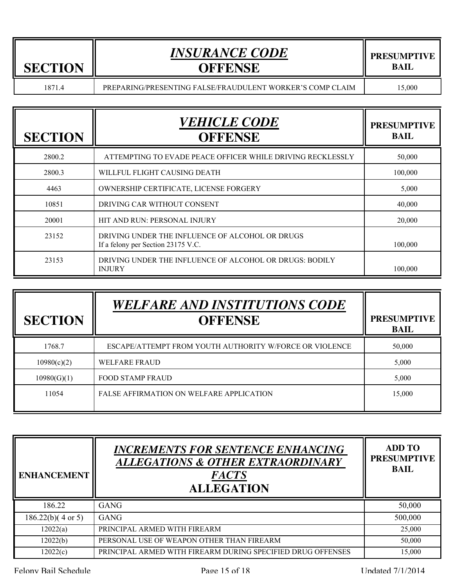| <b>SECTION</b> |  |
|----------------|--|

# *INSURANCE CODE* **OFFENSE**

1871.4 PREPARING/PRESENTING FALSE/FRAUDULENT WORKER'S COMP CLAIM 15,000

| <b>SECTION</b> | <b>VEHICLE CODE</b><br><b>OFFENSE</b>                                                 | <b>PRESUMPTIVE</b><br><b>BAIL</b> |
|----------------|---------------------------------------------------------------------------------------|-----------------------------------|
| 2800.2         | ATTEMPTING TO EVADE PEACE OFFICER WHILE DRIVING RECKLESSLY                            | 50,000                            |
| 2800.3         | WILLFUL FLIGHT CAUSING DEATH                                                          | 100,000                           |
| 4463           | OWNERSHIP CERTIFICATE, LICENSE FORGERY                                                | 5,000                             |
| 10851          | DRIVING CAR WITHOUT CONSENT                                                           | 40,000                            |
| 20001          | HIT AND RUN: PERSONAL INJURY                                                          | 20,000                            |
| 23152          | DRIVING UNDER THE INFLUENCE OF ALCOHOL OR DRUGS<br>If a felony per Section 23175 V.C. | 100,000                           |
| 23153          | DRIVING UNDER THE INFLUENCE OF ALCOHOL OR DRUGS: BODILY<br><b>INJURY</b>              | 100,000                           |

| <b>SECTION</b> | <b>WELFARE AND INSTITUTIONS CODE</b><br><b>OFFENSE</b>  | <b>PRESUMPTIVE</b><br><b>BAIL</b> |
|----------------|---------------------------------------------------------|-----------------------------------|
| 1768.7         | ESCAPE/ATTEMPT FROM YOUTH AUTHORITY W/FORCE OR VIOLENCE | 50,000                            |
| 10980(c)(2)    | <b>WELFARE FRAUD</b>                                    | 5,000                             |
| 10980(G)(1)    | <b>FOOD STAMP FRAUD</b>                                 | 5,000                             |
| 11054          | FALSE AFFIRMATION ON WELFARE APPLICATION                | 15,000                            |

| <b>ENHANCEMENT</b> | <b>INCREMENTS FOR SENTENCE ENHANCING</b><br><b>ALLEGATIONS &amp; OTHER EXTRAORDINARY</b><br><b>FACTS</b><br><b>ALLEGATION</b> | <b>ADD TO</b><br><b>PRESUMPTIVE</b><br><b>BAIL</b> |
|--------------------|-------------------------------------------------------------------------------------------------------------------------------|----------------------------------------------------|
| 186.22             | <b>GANG</b>                                                                                                                   | 50,000                                             |
| 186.22(b)(4 or 5)  | <b>GANG</b>                                                                                                                   | 500,000                                            |
| 12022(a)           | PRINCIPAL ARMED WITH FIREARM                                                                                                  | 25,000                                             |
| 12022(b)           | PERSONAL USE OF WEAPON OTHER THAN FIREARM                                                                                     | 50,000                                             |
| 12022(c)           | PRINCIPAL ARMED WITH FIREARM DURING SPECIFIED DRUG OFFENSES                                                                   | 15,000                                             |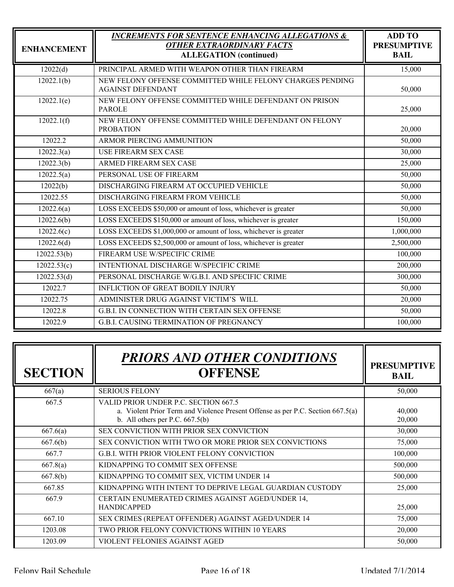| <b>ENHANCEMENT</b>       | <b>INCREMENTS FOR SENTENCE ENHANCING ALLEGATIONS &amp;</b><br><b>OTHER EXTRAORDINARY FACTS</b><br><b>ALLEGATION</b> (continued) | <b>ADD TO</b><br><b>PRESUMPTIVE</b><br><b>BAIL</b> |
|--------------------------|---------------------------------------------------------------------------------------------------------------------------------|----------------------------------------------------|
| 12022(d)                 | PRINCIPAL ARMED WITH WEAPON OTHER THAN FIREARM                                                                                  | 15,000                                             |
| 12022.1(b)               | NEW FELONY OFFENSE COMMITTED WHILE FELONY CHARGES PENDING<br><b>AGAINST DEFENDANT</b>                                           | 50,000                                             |
| 12022.1(e)               | NEW FELONY OFFENSE COMMITTED WHILE DEFENDANT ON PRISON<br><b>PAROLE</b>                                                         | 25,000                                             |
| 12022.1(f)               | NEW FELONY OFFENSE COMMITTED WHILE DEFENDANT ON FELONY<br><b>PROBATION</b>                                                      | 20,000                                             |
| 12022.2                  | <b>ARMOR PIERCING AMMUNITION</b>                                                                                                | 50,000                                             |
| 12022.3(a)               | <b>USE FIREARM SEX CASE</b>                                                                                                     | 30,000                                             |
| 12022.3(b)               | ARMED FIREARM SEX CASE                                                                                                          | 25,000                                             |
| 12022.5(a)               | PERSONAL USE OF FIREARM                                                                                                         | 50,000                                             |
| 12022(b)                 | DISCHARGING FIREARM AT OCCUPIED VEHICLE                                                                                         | 50,000                                             |
| 12022.55                 | DISCHARGING FIREARM FROM VEHICLE                                                                                                | 50,000                                             |
| 12022.6(a)               | LOSS EXCEEDS \$50,000 or amount of loss, whichever is greater                                                                   | 50,000                                             |
| 12022.6(b)               | LOSS EXCEEDS \$150,000 or amount of loss, whichever is greater                                                                  | 150,000                                            |
| $\overline{12}022.6(c)$  | LOSS EXCEEDS \$1,000,000 or amount of loss, whichever is greater                                                                | 1,000,000                                          |
| 12022.6(d)               | LOSS EXCEEDS \$2,500,000 or amount of loss, whichever is greater                                                                | 2,500,000                                          |
| 12022.53(b)              | FIREARM USE W/SPECIFIC CRIME                                                                                                    | 100,000                                            |
| 12022.53(c)              | INTENTIONAL DISCHARGE W/SPECIFIC CRIME                                                                                          | 200,000                                            |
| $12022.\overline{53(d)}$ | PERSONAL DISCHARGE W/G.B.I. AND SPECIFIC CRIME                                                                                  | 300,000                                            |
| 12022.7                  | <b>INFLICTION OF GREAT BODILY INJURY</b>                                                                                        | 50,000                                             |
| 12022.75                 | ADMINISTER DRUG AGAINST VICTIM'S WILL                                                                                           | 20,000                                             |
| 12022.8                  | G.B.I. IN CONNECTION WITH CERTAIN SEX OFFENSE                                                                                   | 50,000                                             |
| 12022.9                  | <b>G.B.I. CAUSING TERMINATION OF PREGNANCY</b>                                                                                  | 100,000                                            |

| <b>SECTION</b> | <b>PRIORS AND OTHER CONDITIONS</b><br><b>OFFENSE</b>                                                                                                         | <b>PRESUMPTIVE</b><br><b>BAIL</b> |
|----------------|--------------------------------------------------------------------------------------------------------------------------------------------------------------|-----------------------------------|
| 667(a)         | <b>SERIOUS FELONY</b>                                                                                                                                        | 50,000                            |
| 667.5          | VALID PRIOR UNDER P.C. SECTION 667.5<br>a. Violent Prior Term and Violence Present Offense as per P.C. Section 667.5(a)<br>b. All others per P.C. $667.5(b)$ | 40,000<br>20,000                  |
| 667.6(a)       | SEX CONVICTION WITH PRIOR SEX CONVICTION                                                                                                                     | 30,000                            |
| 667.6(b)       | SEX CONVICTION WITH TWO OR MORE PRIOR SEX CONVICTIONS                                                                                                        | 75,000                            |
| 667.7          | <b>G.B.I. WITH PRIOR VIOLENT FELONY CONVICTION</b>                                                                                                           | 100,000                           |
| 667.8(a)       | KIDNAPPING TO COMMIT SEX OFFENSE                                                                                                                             | 500,000                           |
| 667.8(b)       | KIDNAPPING TO COMMIT SEX, VICTIM UNDER 14                                                                                                                    | 500,000                           |
| 667.85         | KIDNAPPING WITH INTENT TO DEPRIVE LEGAL GUARDIAN CUSTODY                                                                                                     | 25,000                            |
| 667.9          | CERTAIN ENUMERATED CRIMES AGAINST AGED/UNDER 14,<br><b>HANDICAPPED</b>                                                                                       | 25,000                            |
| 667.10         | SEX CRIMES (REPEAT OFFENDER) AGAINST AGED/UNDER 14                                                                                                           | 75,000                            |
| 1203.08        | TWO PRIOR FELONY CONVICTIONS WITHIN 10 YEARS                                                                                                                 | 20,000                            |
| 1203.09        | VIOLENT FELONIES AGAINST AGED                                                                                                                                | 50,000                            |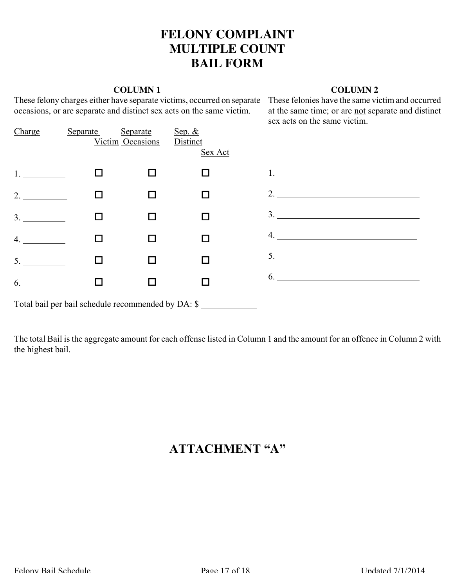### **FELONY COMPLAINT MULTIPLE COUNT BAIL FORM**

#### **COLUMN 1**

These felony charges either have separate victims, occurred on separate These felonies have the same victim and occurred occasions, or are separate and distinct sex acts on the same victim.

#### **COLUMN 2**

at the same time; or are not separate and distinct sex acts on the same victim.

| Charge                                             | Separate | Separate<br>Victim Occasions | Sep. $&$<br>Distinct |                           |  |  |  |  |
|----------------------------------------------------|----------|------------------------------|----------------------|---------------------------|--|--|--|--|
|                                                    |          |                              | Sex Act              |                           |  |  |  |  |
| $1.$ $\blacksquare$                                |          |                              |                      | 1. $\qquad \qquad \qquad$ |  |  |  |  |
| 2.                                                 |          |                              |                      | 2.                        |  |  |  |  |
| 3.                                                 |          |                              |                      | 3.                        |  |  |  |  |
| 4.                                                 |          |                              |                      |                           |  |  |  |  |
| 5.                                                 |          |                              |                      | 5.                        |  |  |  |  |
| 6.                                                 |          |                              |                      | 6.                        |  |  |  |  |
| Total bail per bail schedule recommended by DA: \$ |          |                              |                      |                           |  |  |  |  |

The total Bail is the aggregate amount for each offense listed in Column 1 and the amount for an offence in Column 2 with the highest bail.

## **ATTACHMENT "A"**